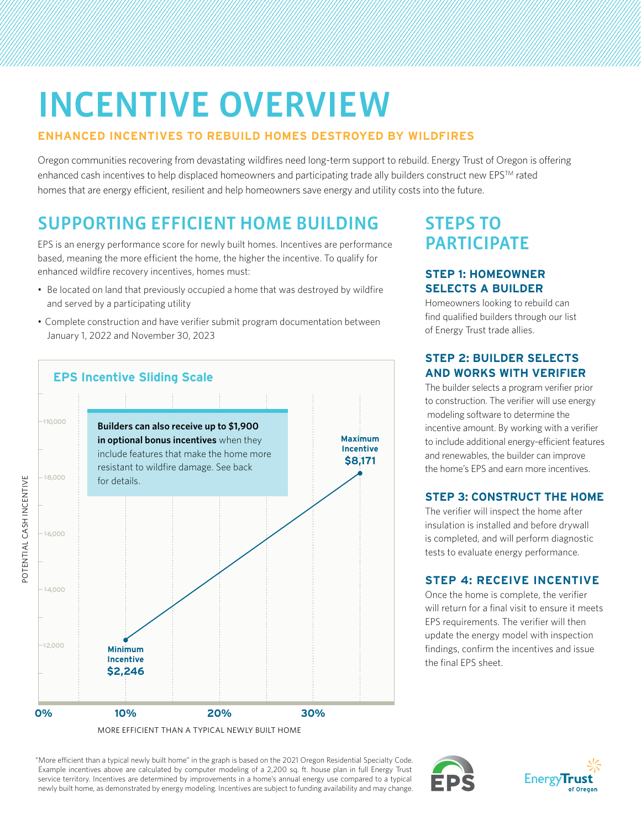# INCENTIVE OVERVIEW

#### **ENHANCED INCENTIVES TO REBUILD HOMES DESTROYED BY WILDFIRES**

Oregon communities recovering from devastating wildfires need long-term support to rebuild. Energy Trust of Oregon is offering enhanced cash incentives to help displaced homeowners and participating trade ally builders construct new EPSTM rated homes that are energy efficient, resilient and help homeowners save energy and utility costs into the future.

# SUPPORTING EFFICIENT HOME BUILDING

EPS is an energy performance score for newly built homes. Incentives are performance based, meaning the more efficient the home, the higher the incentive. To qualify for enhanced wildfire recovery incentives, homes must:

- Be located on land that previously occupied a home that was destroyed by wildfire and served by a participating utility
- Complete construction and have verifier submit program documentation between January 1, 2022 and November 30, 2023



POTENTIAL CASH INCENTIVE

POTENTIAL CASH INCENTIVE

MORE EFFICIENT THAN A TYPICAL NEWLY BUILT HOME

# STEPS TO **PARTICIPATE**

#### **STEP 1: HOMEOWNER SELECTS A BUILDER**

Homeowners looking to rebuild can find qualified builders through our list of Energy Trust trade allies.

#### **STEP 2: BUILDER SELECTS AND WORKS WITH VERIFIER**

The builder selects a program verifier prior to construction. The verifier will use energy modeling software to determine the incentive amount. By working with a verifier to include additional energy-efficient features and renewables, the builder can improve the home's EPS and earn more incentives.

### **STEP 3: CONSTRUCT THE HOME**

The verifier will inspect the home after insulation is installed and before drywall is completed, and will perform diagnostic tests to evaluate energy performance.

### **STEP 4: RECEIVE INCENTIVE**

Once the home is complete, the verifier will return for a final visit to ensure it meets EPS requirements. The verifier will then update the energy model with inspection findings, confirm the incentives and issue the final EPS sheet.

 "More efficient than a typical newly built home" in the graph is based on the 2021 Oregon Residential Specialty Code. Example incentives above are calculated by computer modeling of a 2,200 sq. ft. house plan in full Energy Trust service territory. Incentives are determined by improvements in a home's annual energy use compared to a typical newly built home, as demonstrated by energy modeling. Incentives are subject to funding availability and may change.